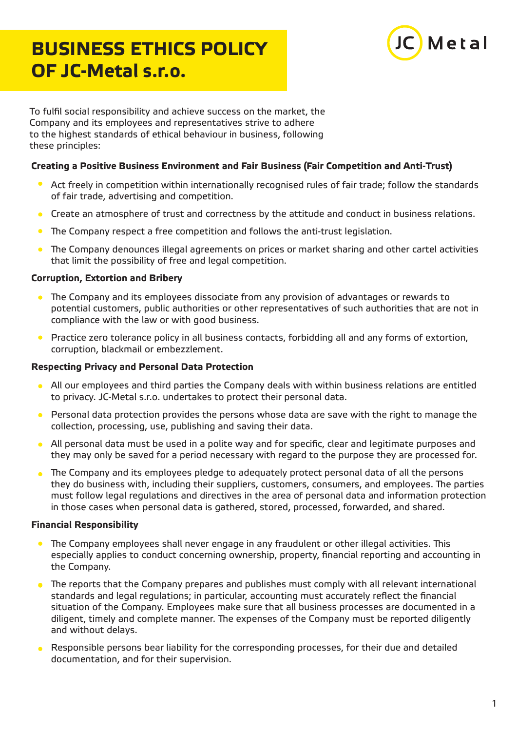# **BUSINESS ETHICS POLICY OF JC-Metal s.r.o.**



To fulfil social responsibility and achieve success on the market, the Company and its employees and representatives strive to adhere to the highest standards of ethical behaviour in business, following these principles:

## **Creating a Positive Business Environment and Fair Business (Fair Competition and Anti-Trust)**

- Act freely in competition within internationally recognised rules of fair trade; follow the standards of fair trade, advertising and competition.
- Create an atmosphere of trust and correctness by the attitude and conduct in business relations.  $\bullet$
- $\bullet$ The Company respect a free competition and follows the anti-trust legislation.
- The Company denounces illegal agreements on prices or market sharing and other cartel activities that limit the possibility of free and legal competition.

## **Corruption, Extortion and Bribery**

- **•** The Company and its employees dissociate from any provision of advantages or rewards to potential customers, public authorities or other representatives of such authorities that are not in compliance with the law or with good business.
- $\bullet$ Practice zero tolerance policy in all business contacts, forbidding all and any forms of extortion, corruption, blackmail or embezzlement.

#### **Respecting Privacy and Personal Data Protection**

- All our employees and third parties the Company deals with within business relations are entitled  $\bullet$ to privacy. JC-Metal s.r.o. undertakes to protect their personal data.
- Personal data protection provides the persons whose data are save with the right to manage the  $\bullet$ collection, processing, use, publishing and saving their data.
- All personal data must be used in a polite way and for specific, clear and legitimate purposes and they may only be saved for a period necessary with regard to the purpose they are processed for.
- The Company and its employees pledge to adequately protect personal data of all the persons they do business with, including their suppliers, customers, consumers, and employees. The parties must follow legal regulations and directives in the area of personal data and information protection in those cases when personal data is gathered, stored, processed, forwarded, and shared.

# **Financial Responsibility**

- The Company employees shall never engage in any fraudulent or other illegal activities. This  $\bullet$ especially applies to conduct concerning ownership, property, financial reporting and accounting in the Company.
- **•** The reports that the Company prepares and publishes must comply with all relevant international standards and legal regulations; in particular, accounting must accurately reflect the financial situation of the Company. Employees make sure that all business processes are documented in a diligent, timely and complete manner. The expenses of the Company must be reported diligently and without delays.
- Responsible persons bear liability for the corresponding processes, for their due and detailed documentation, and for their supervision.